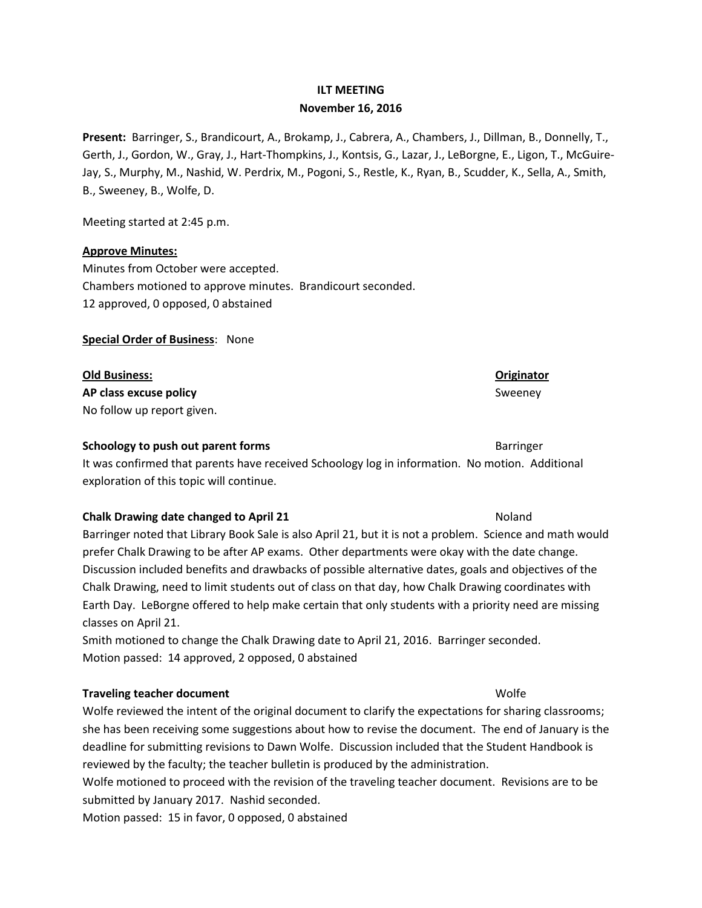### **ILT MEETING**

### **November 16, 2016**

**Present:** Barringer, S., Brandicourt, A., Brokamp, J., Cabrera, A., Chambers, J., Dillman, B., Donnelly, T., Gerth, J., Gordon, W., Gray, J., Hart-Thompkins, J., Kontsis, G., Lazar, J., LeBorgne, E., Ligon, T., McGuire-Jay, S., Murphy, M., Nashid, W. Perdrix, M., Pogoni, S., Restle, K., Ryan, B., Scudder, K., Sella, A., Smith, B., Sweeney, B., Wolfe, D.

Meeting started at 2:45 p.m.

### **Approve Minutes:**

Minutes from October were accepted. Chambers motioned to approve minutes. Brandicourt seconded. 12 approved, 0 opposed, 0 abstained

**Special Order of Business**: None

**Old Business: Originator AP class excuse policy** Sweeney Sweeney Sweeney Sweeney Sweeney Sweeney Sweeney Sweeney Sweeney Sweeney Sweeney No follow up report given.

### **Schoology to push out parent forms** Barringer Barringer

It was confirmed that parents have received Schoology log in information. No motion. Additional exploration of this topic will continue.

### **Chalk Drawing date changed to April 21** Noland Noland Noland

Barringer noted that Library Book Sale is also April 21, but it is not a problem. Science and math would prefer Chalk Drawing to be after AP exams. Other departments were okay with the date change. Discussion included benefits and drawbacks of possible alternative dates, goals and objectives of the Chalk Drawing, need to limit students out of class on that day, how Chalk Drawing coordinates with Earth Day. LeBorgne offered to help make certain that only students with a priority need are missing classes on April 21.

Smith motioned to change the Chalk Drawing date to April 21, 2016. Barringer seconded. Motion passed: 14 approved, 2 opposed, 0 abstained

### **Traveling teacher document** Wolfe

Wolfe reviewed the intent of the original document to clarify the expectations for sharing classrooms; she has been receiving some suggestions about how to revise the document. The end of January is the deadline for submitting revisions to Dawn Wolfe. Discussion included that the Student Handbook is reviewed by the faculty; the teacher bulletin is produced by the administration.

Wolfe motioned to proceed with the revision of the traveling teacher document. Revisions are to be submitted by January 2017. Nashid seconded.

Motion passed: 15 in favor, 0 opposed, 0 abstained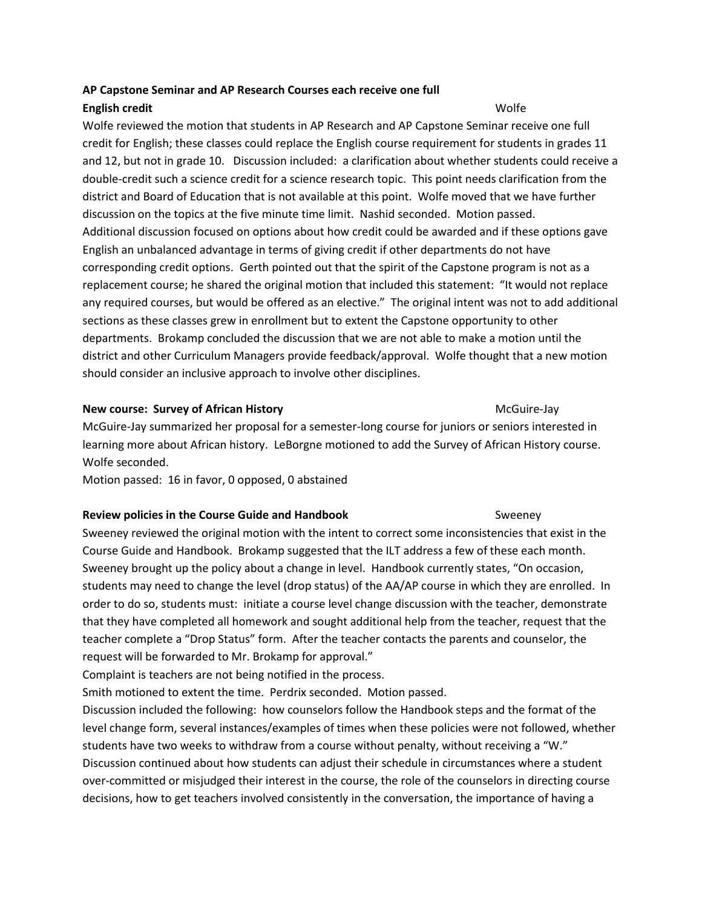# **AP Capstone Seminar and AP Research Courses each receive one full English credit** Wolfe

Wolfe reviewed the motion that students in AP Research and AP Capstone Seminar receive one full credit for English; these classes could replace the English course requirement for students in grades 11 and 12, but not in grade 10. Discussion included: a clarification about whether students could receive a double-credit such a science credit for a science research topic. This point needs clarification from the district and Board of Education that is not available at this point. Wolfe moved that we have further discussion on the topics at the five minute time limit. Nashid seconded. Motion passed. Additional discussion focused on options about how credit could be awarded and if these options gave English an unbalanced advantage in terms of giving credit if other departments do not have corresponding credit options. Gerth pointed out that the spirit of the Capstone program is not as a replacement course; he shared the original motion that included this statement: "It would not replace any required courses, but would be offered as an elective." The original intent was not to add additional sections as these classes grew in enrollment but to extent the Capstone opportunity to other departments. Brokamp concluded the discussion that we are not able to make a motion until the district and other Curriculum Managers provide feedback/approval. Wolfe thought that a new motion should consider an inclusive approach to involve other disciplines.

## **New course: Survey of African History McGuire-Jay McGuire-Jay McGuire-Jay**

McGuire-Jay summarized her proposal for a semester-long course for juniors or seniors interested in learning more about African history. LeBorgne motioned to add the Survey of African History course. Wolfe seconded.

Motion passed: 16 in favor, 0 opposed, 0 abstained

## **Review policies in the Course Guide and Handbook** Sweeney

Sweeney reviewed the original motion with the intent to correct some inconsistencies that exist in the Course Guide and Handbook. Brokamp suggested that the ILT address a few of these each month. Sweeney brought up the policy about a change in level. Handbook currently states, "On occasion, students may need to change the level (drop status) of the AA/AP course in which they are enrolled. In order to do so, students must: initiate a course level change discussion with the teacher, demonstrate that they have completed all homework and sought additional help from the teacher, request that the teacher complete a "Drop Status" form. After the teacher contacts the parents and counselor, the request will be forwarded to Mr. Brokamp for approval."

Complaint is teachers are not being notified in the process.

Smith motioned to extent the time. Perdrix seconded. Motion passed.

Discussion included the following: how counselors follow the Handbook steps and the format of the level change form, several instances/examples of times when these policies were not followed, whether students have two weeks to withdraw from a course without penalty, without receiving a "W." Discussion continued about how students can adjust their schedule in circumstances where a student over-committed or misjudged their interest in the course, the role of the counselors in directing course decisions, how to get teachers involved consistently in the conversation, the importance of having a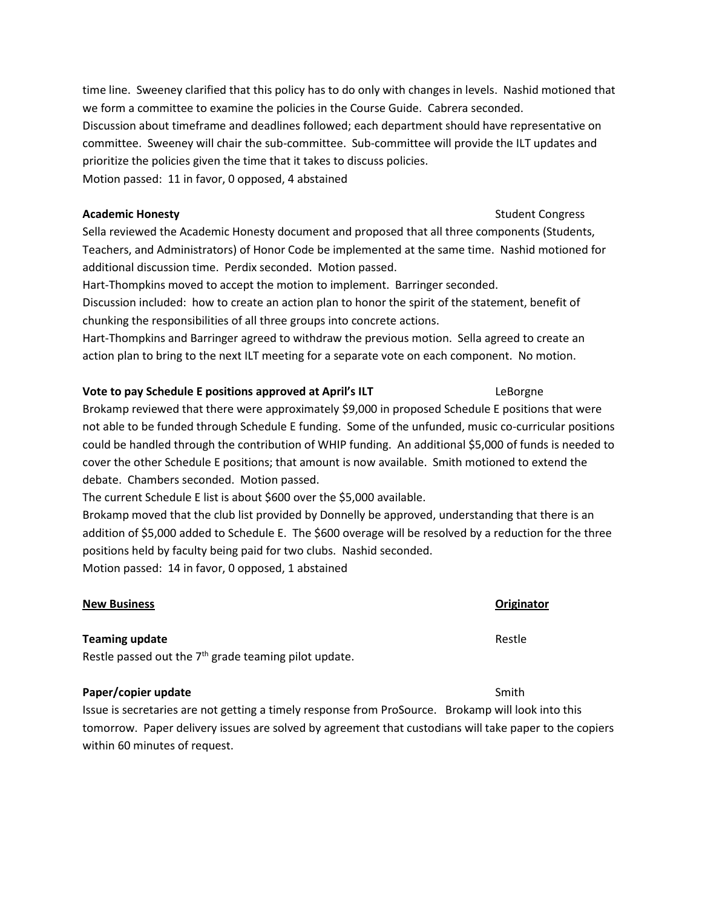time line. Sweeney clarified that this policy has to do only with changes in levels. Nashid motioned that we form a committee to examine the policies in the Course Guide. Cabrera seconded. Discussion about timeframe and deadlines followed; each department should have representative on committee. Sweeney will chair the sub-committee. Sub-committee will provide the ILT updates and prioritize the policies given the time that it takes to discuss policies. Motion passed: 11 in favor, 0 opposed, 4 abstained

### **Academic Honesty Academic Honesty Student Congress**

Sella reviewed the Academic Honesty document and proposed that all three components (Students, Teachers, and Administrators) of Honor Code be implemented at the same time. Nashid motioned for additional discussion time. Perdix seconded. Motion passed.

Hart-Thompkins moved to accept the motion to implement. Barringer seconded.

Discussion included: how to create an action plan to honor the spirit of the statement, benefit of chunking the responsibilities of all three groups into concrete actions.

Hart-Thompkins and Barringer agreed to withdraw the previous motion. Sella agreed to create an action plan to bring to the next ILT meeting for a separate vote on each component. No motion.

## **Vote to pay Schedule E positions approved at April's ILT Frame Constructs LeBorgne**

Brokamp reviewed that there were approximately \$9,000 in proposed Schedule E positions that were not able to be funded through Schedule E funding. Some of the unfunded, music co-curricular positions could be handled through the contribution of WHIP funding. An additional \$5,000 of funds is needed to cover the other Schedule E positions; that amount is now available. Smith motioned to extend the debate. Chambers seconded. Motion passed.

The current Schedule E list is about \$600 over the \$5,000 available.

Brokamp moved that the club list provided by Donnelly be approved, understanding that there is an addition of \$5,000 added to Schedule E. The \$600 overage will be resolved by a reduction for the three positions held by faculty being paid for two clubs. Nashid seconded. Motion passed: 14 in favor, 0 opposed, 1 abstained

## **New Business Originator**

## **Teaming update** Restle

Restle passed out the  $7<sup>th</sup>$  grade teaming pilot update.

## **Paper/copier update** Smith

Issue is secretaries are not getting a timely response from ProSource. Brokamp will look into this tomorrow. Paper delivery issues are solved by agreement that custodians will take paper to the copiers within 60 minutes of request.